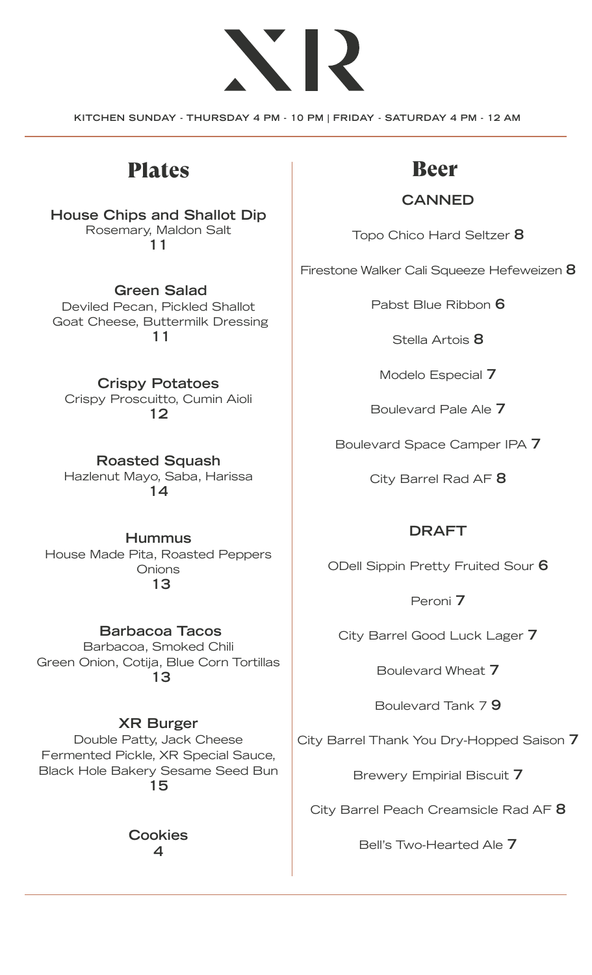# NR.

**KITCHEN SUNDAY - THURSDAY 4 PM - 10 PM | FRIDAY - SATURDAY 4 PM - 12 AM**

## Plates Beer

#### **House Chips and Shallot Dip** Rosemary, Maldon Salt **11**

**Green Salad** Deviled Pecan, Pickled Shallot Goat Cheese, Buttermilk Dressing  **11**

**Crispy Potatoes** Crispy Proscuitto, Cumin Aioli **12**

**Roasted Squash** Hazlenut Mayo, Saba, Harissa **14**

**Hummus** House Made Pita, Roasted Peppers **Onions 13**

**Barbacoa Tacos** Barbacoa, Smoked Chili Green Onion, Cotija, Blue Corn Tortillas  **13**

#### **XR Burger**

Double Patty, Jack Cheese Fermented Pickle, XR Special Sauce, Black Hole Bakery Sesame Seed Bun **15** 

> **Cookies 4**

#### **CANNED**

Topo Chico Hard Seltzer **8**

Firestone Walker Cali Squeeze Hefeweizen **8**

Pabst Blue Ribbon **6**

Stella Artois **8**

Modelo Especial **7**

Boulevard Pale Ale **7**

Boulevard Space Camper IPA **7**

City Barrel Rad AF **8**

### **DRAFT**

ODell Sippin Pretty Fruited Sour **6**

Peroni **7**

City Barrel Good Luck Lager **7**

Boulevard Wheat **7**

Boulevard Tank 7 **9**

City Barrel Thank You Dry-Hopped Saison **7**

Brewery Empirial Biscuit **7**

City Barrel Peach Creamsicle Rad AF **8**

Bell's Two-Hearted Ale **7**